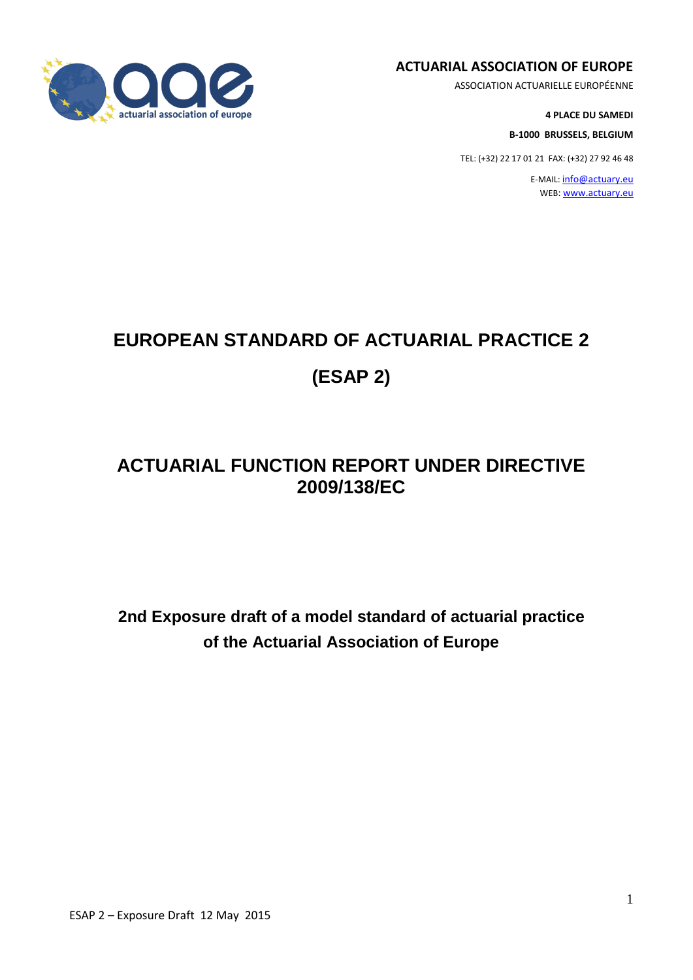

#### **ACTUARIAL ASSOCIATION OF EUROPE**

ASSOCIATION ACTUARIELLE EUROPÉENNE

**4 PLACE DU SAMEDI**

**B-1000 BRUSSELS, BELGIUM**

TEL: (+32) 22 17 01 21 FAX: (+32) 27 92 46 48

E-MAIL: [info@actuary.eu](mailto:info@actuary.eu) WEB: [www.actuary.eu](http://www.actuary.eu/)

# **EUROPEAN STANDARD OF ACTUARIAL PRACTICE 2 (ESAP 2)**

# **ACTUARIAL FUNCTION REPORT UNDER DIRECTIVE 2009/138/EC**

**2nd Exposure draft of a model standard of actuarial practice of the Actuarial Association of Europe**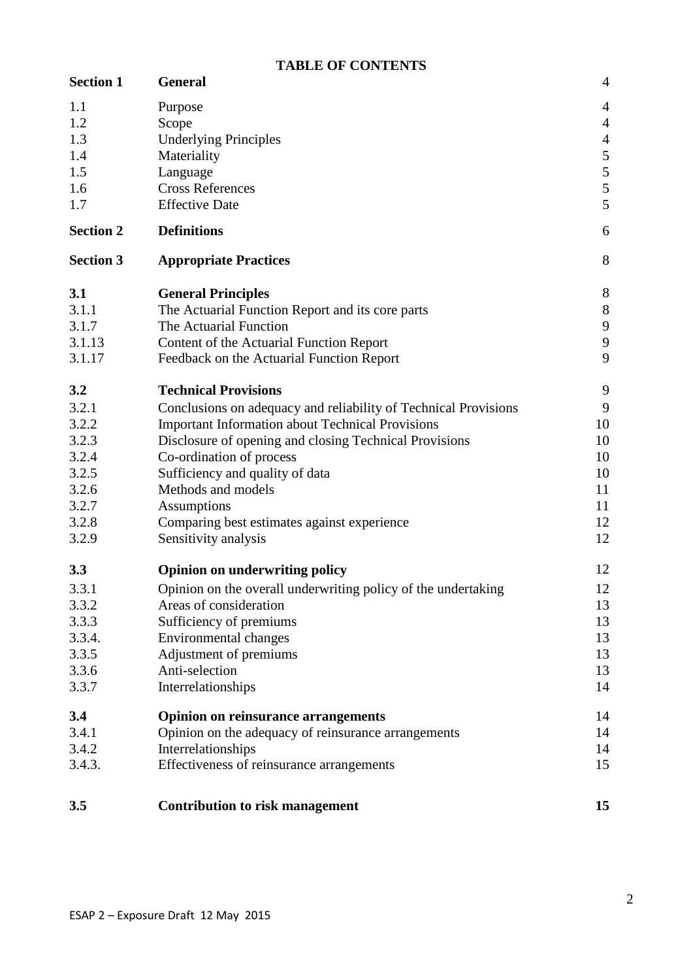# **TABLE OF CONTENTS**

| <b>Section 1</b> | <b>General</b>                                                  | $\overline{4}$   |
|------------------|-----------------------------------------------------------------|------------------|
| 1.1              | Purpose                                                         | $\overline{4}$   |
| 1.2              | Scope                                                           | $\overline{4}$   |
| 1.3              | <b>Underlying Principles</b>                                    | $\overline{4}$   |
| 1.4              | Materiality                                                     | 5                |
| 1.5              | Language                                                        | $\overline{5}$   |
| 1.6              | <b>Cross References</b>                                         | $\sqrt{5}$       |
| 1.7              | <b>Effective Date</b>                                           | 5                |
| <b>Section 2</b> | <b>Definitions</b>                                              | 6                |
| <b>Section 3</b> | <b>Appropriate Practices</b>                                    | 8                |
| 3.1              | <b>General Principles</b>                                       | 8                |
| 3.1.1            | The Actuarial Function Report and its core parts                | $8\,$            |
| 3.1.7            | The Actuarial Function                                          | $\boldsymbol{9}$ |
| 3.1.13           | Content of the Actuarial Function Report                        | $\overline{9}$   |
| 3.1.17           | Feedback on the Actuarial Function Report                       | 9                |
| 3.2              | <b>Technical Provisions</b>                                     | 9                |
| 3.2.1            | Conclusions on adequacy and reliability of Technical Provisions | 9                |
| 3.2.2            | <b>Important Information about Technical Provisions</b>         | 10               |
| 3.2.3            | Disclosure of opening and closing Technical Provisions          | 10               |
| 3.2.4            | Co-ordination of process                                        | 10               |
| 3.2.5            | Sufficiency and quality of data                                 | 10               |
| 3.2.6            | Methods and models                                              | 11               |
| 3.2.7            | Assumptions                                                     | 11               |
| 3.2.8            | Comparing best estimates against experience                     | 12               |
| 3.2.9            | Sensitivity analysis                                            | 12               |
| 3.3              | <b>Opinion on underwriting policy</b>                           | 12               |
| 3.3.1            | Opinion on the overall underwriting policy of the undertaking   | 12               |
| 3.3.2            | Areas of consideration                                          | 13               |
| 3.3.3            | Sufficiency of premiums                                         | 13               |
| 3.3.4.           | <b>Environmental changes</b>                                    | 13               |
| 3.3.5            | Adjustment of premiums                                          | 13               |
| 3.3.6            | Anti-selection                                                  | 13               |
| 3.3.7            | Interrelationships                                              | 14               |
| 3.4              | <b>Opinion on reinsurance arrangements</b>                      | 14               |
| 3.4.1            | Opinion on the adequacy of reinsurance arrangements             | 14               |
| 3.4.2            | Interrelationships                                              | 14               |
| 3.4.3.           | Effectiveness of reinsurance arrangements                       | 15               |
| 3.5              | <b>Contribution to risk management</b>                          | 15               |
|                  |                                                                 |                  |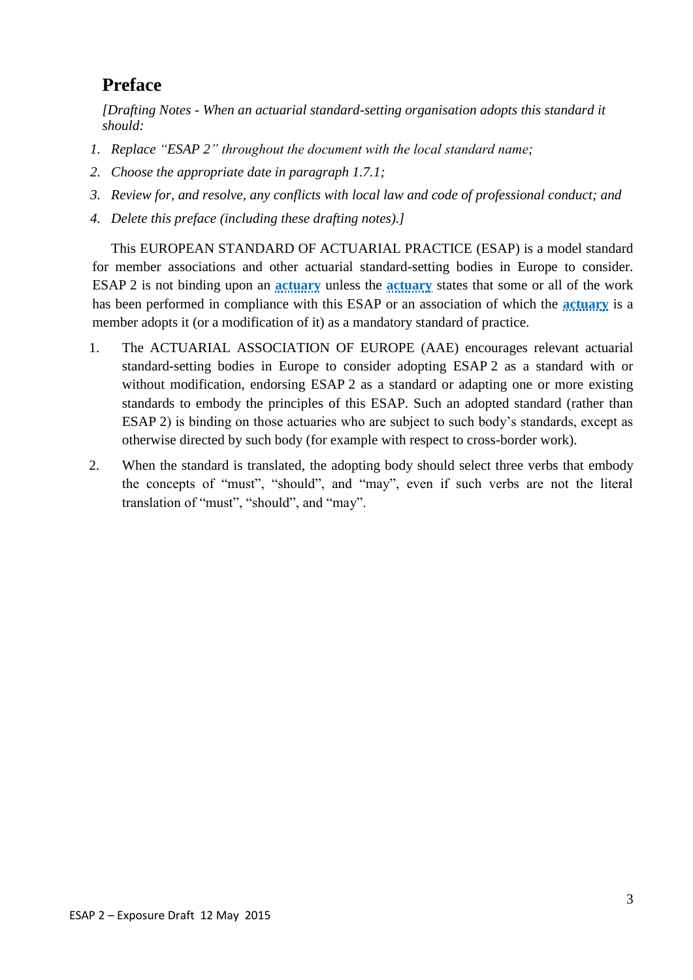# **Preface**

*[Drafting Notes - When an actuarial standard-setting organisation adopts this standard it should:*

- *1. Replace "ESAP 2" throughout the document with the local standard name;*
- *2. Choose the appropriate date in paragraph 1.7.1;*
- *3. Review for, and resolve, any conflicts with local law and code of professional conduct; and*
- *4. Delete this preface (including these drafting notes).]*

This EUROPEAN STANDARD OF ACTUARIAL PRACTICE (ESAP) is a model standard for member associations and other actuarial standard-setting bodies in Europe to consider. ESAP 2 is not binding upon an **actuary** unless the **actuary** states that some or all of the work has been performed in compliance with this ESAP or an association of which the **actuary** is a member adopts it (or a modification of it) as a mandatory standard of practice.

- 1. The ACTUARIAL ASSOCIATION OF EUROPE (AAE) encourages relevant actuarial standard-setting bodies in Europe to consider adopting ESAP 2 as a standard with or without modification, endorsing ESAP 2 as a standard or adapting one or more existing standards to embody the principles of this ESAP. Such an adopted standard (rather than ESAP 2) is binding on those actuaries who are subject to such body's standards, except as otherwise directed by such body (for example with respect to cross-border work).
- 2. When the standard is translated, the adopting body should select three verbs that embody the concepts of "must", "should", and "may", even if such verbs are not the literal translation of "must", "should", and "may".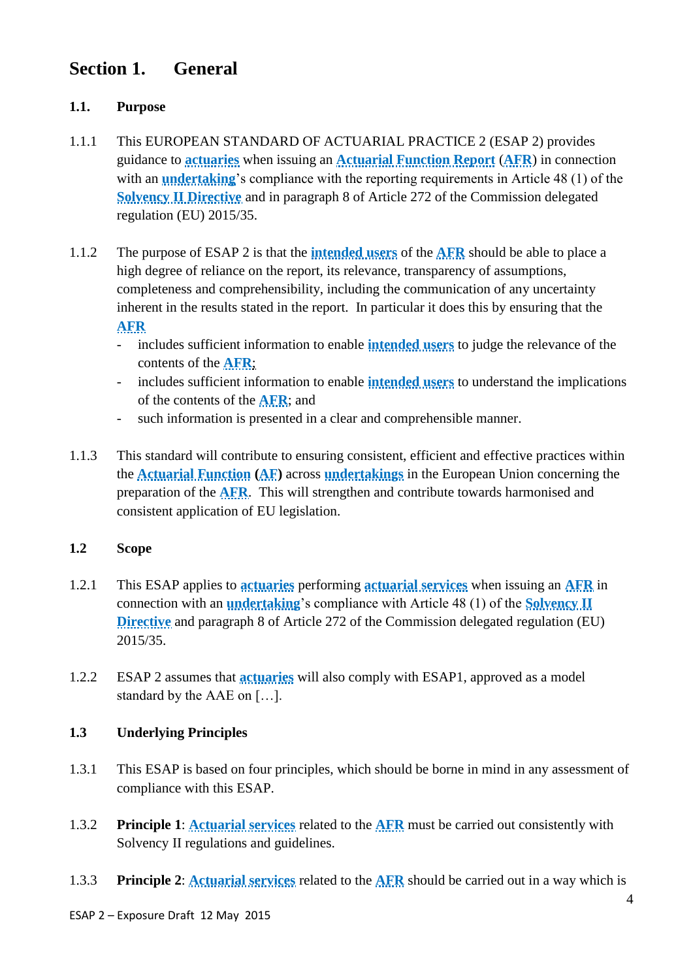# **Section 1. General**

# **1.1. Purpose**

- 1.1.1 This EUROPEAN STANDARD OF ACTUARIAL PRACTICE 2 (ESAP 2) provides guidance to **actuaries** when issuing an **Actuarial Function Report** (**AFR**) in connection with an **undertaking**'s compliance with the reporting requirements in Article 48 (1) of the **Solvency II Directive** and in paragraph 8 of Article 272 of the Commission delegated regulation (EU) 2015/35.
- 1.1.2 The purpose of ESAP 2 is that the **intended users** of the **AFR** should be able to place a high degree of reliance on the report, its relevance, transparency of assumptions, completeness and comprehensibility, including the communication of any uncertainty inherent in the results stated in the report. In particular it does this by ensuring that the **AFR**
	- includes sufficient information to enable **intended users** to judge the relevance of the contents of the **AFR**;
	- includes sufficient information to enable **intended users** to understand the implications of the contents of the **AFR**; and
	- such information is presented in a clear and comprehensible manner.
- 1.1.3 This standard will contribute to ensuring consistent, efficient and effective practices within the **Actuarial Function (AF)** across **undertakings** in the European Union concerning the preparation of the **AFR**. This will strengthen and contribute towards harmonised and consistent application of EU legislation.

#### **1.2 Scope**

- 1.2.1 This ESAP applies to **actuaries** performing **actuarial services** when issuing an **AFR** in connection with an **undertaking**'s compliance with Article 48 (1) of the **Solvency II Directive** and paragraph 8 of Article 272 of the Commission delegated regulation (EU) 2015/35.
- 1.2.2 ESAP 2 assumes that **actuaries** will also comply with ESAP1, approved as a model standard by the AAE on […].

# **1.3 Underlying Principles**

- 1.3.1 This ESAP is based on four principles, which should be borne in mind in any assessment of compliance with this ESAP.
- 1.3.2 **Principle 1**: **Actuarial services** related to the **AFR** must be carried out consistently with Solvency II regulations and guidelines.
- 1.3.3 **Principle 2**: **Actuarial services** related to the **AFR** should be carried out in a way which is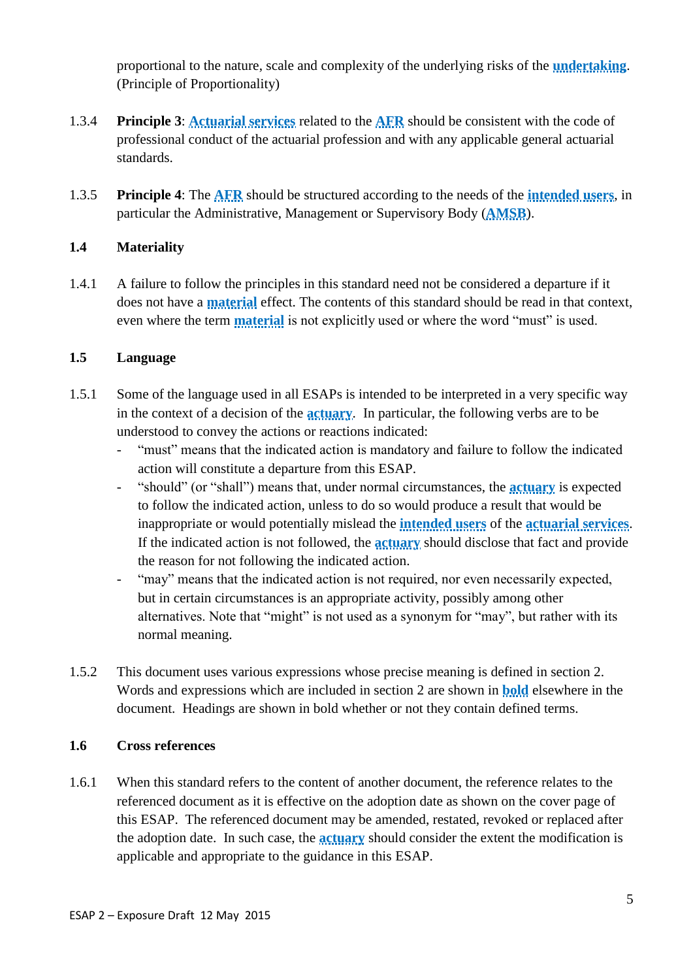proportional to the nature, scale and complexity of the underlying risks of the **undertaking**. (Principle of Proportionality)

- 1.3.4 **Principle 3**: **Actuarial services** related to the **AFR** should be consistent with the code of professional conduct of the actuarial profession and with any applicable general actuarial standards.
- 1.3.5 **Principle 4**: The **AFR** should be structured according to the needs of the **intended users**, in particular the Administrative, Management or Supervisory Body (**AMSB**).

# **1.4 Materiality**

1.4.1 A failure to follow the principles in this standard need not be considered a departure if it does not have a **material** effect. The contents of this standard should be read in that context, even where the term **material** is not explicitly used or where the word "must" is used.

# **1.5 Language**

- 1.5.1 Some of the language used in all ESAPs is intended to be interpreted in a very specific way in the context of a decision of the **actuary**. In particular, the following verbs are to be understood to convey the actions or reactions indicated:
	- "must" means that the indicated action is mandatory and failure to follow the indicated action will constitute a departure from this ESAP.
	- "should" (or "shall") means that, under normal circumstances, the **actuary** is expected to follow the indicated action, unless to do so would produce a result that would be inappropriate or would potentially mislead the **intended users** of the **actuarial services**. If the indicated action is not followed, the **actuary** should disclose that fact and provide the reason for not following the indicated action.
	- "may" means that the indicated action is not required, nor even necessarily expected, but in certain circumstances is an appropriate activity, possibly among other alternatives. Note that "might" is not used as a synonym for "may", but rather with its normal meaning.
- 1.5.2 This document uses various expressions whose precise meaning is defined in section 2. Words and expressions which are included in section 2 are shown in **bold** elsewhere in the document. Headings are shown in bold whether or not they contain defined terms.

# **1.6 Cross references**

1.6.1 When this standard refers to the content of another document, the reference relates to the referenced document as it is effective on the adoption date as shown on the cover page of this ESAP. The referenced document may be amended, restated, revoked or replaced after the adoption date. In such case, the **actuary** should consider the extent the modification is applicable and appropriate to the guidance in this ESAP.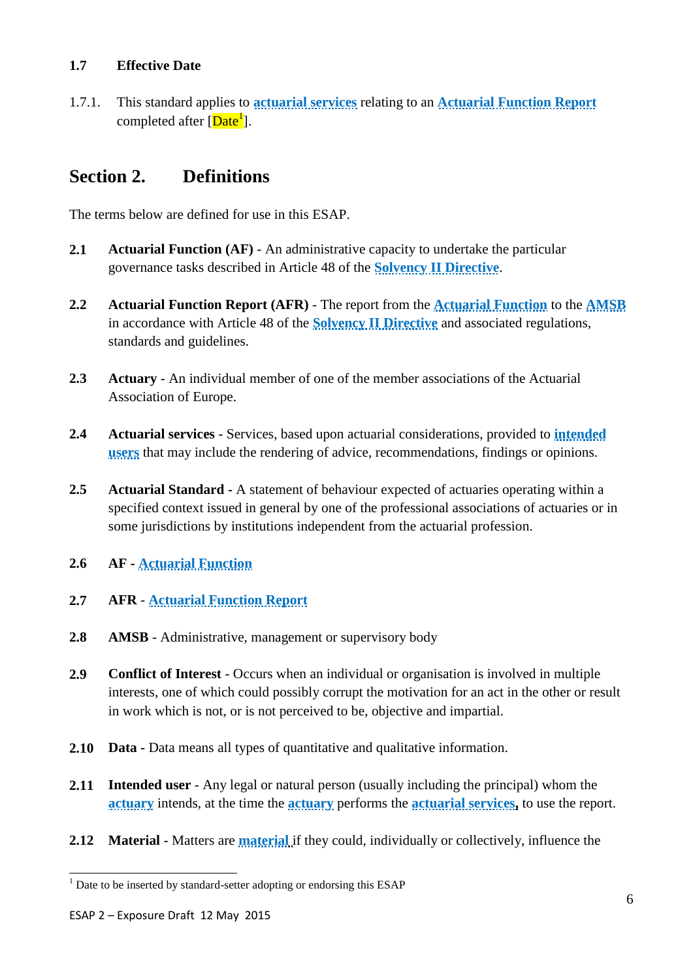#### **1.7 Effective Date**

1.7.1. This standard applies to **actuarial services** relating to an **Actuarial Function Report** completed after [Date<sup>1</sup>].

# **Section 2. Definitions**

The terms below are defined for use in this ESAP.

- **2.1 Actuarial Function (AF)** An administrative capacity to undertake the particular governance tasks described in Article 48 of the **Solvency II Directive**.
- **2.2 Actuarial Function Report (AFR)** The report from the **Actuarial Function** to the **AMSB** in accordance with Article 48 of the **Solvency II Directive** and associated regulations, standards and guidelines.
- **2.3 Actuary** An individual member of one of the member associations of the Actuarial Association of Europe.
- **2.4 Actuarial services** Services, based upon actuarial considerations, provided to **intended users** that may include the rendering of advice, recommendations, findings or opinions.
- **2.5 Actuarial Standard -** A statement of behaviour expected of actuaries operating within a specified context issued in general by one of the professional associations of actuaries or in some jurisdictions by institutions independent from the actuarial profession.
- **2.6 AF - Actuarial Function**
- **2.7 AFR Actuarial Function Report**
- **2.8 AMSB** Administrative, management or supervisory body
- **2.9 Conflict of Interest** Occurs when an individual or organisation is involved in multiple interests, one of which could possibly corrupt the motivation for an act in the other or result in work which is not, or is not perceived to be, objective and impartial.
- **2.10 Data -** Data means all types of quantitative and qualitative information.
- **2.11 Intended user** Any legal or natural person (usually including the principal) whom the **actuary** intends, at the time the **actuary** performs the **actuarial services,** to use the report.
- **2.12 Material** Matters are **material** if they could, individually or collectively, influence the

l

 $1$  Date to be inserted by standard-setter adopting or endorsing this ESAP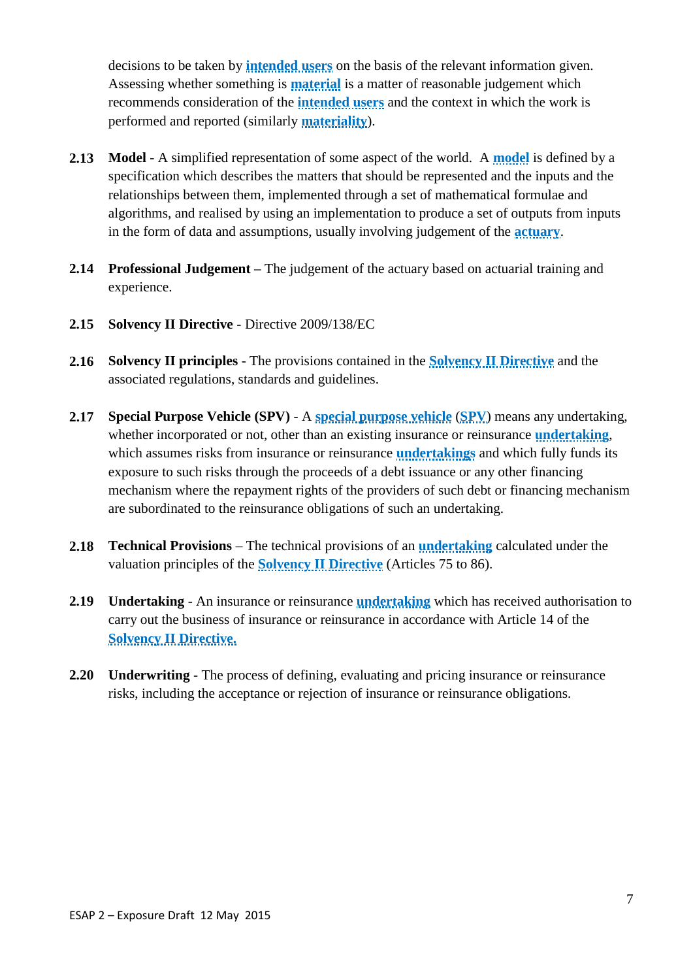decisions to be taken by **intended users** on the basis of the relevant information given. Assessing whether something is **material** is a matter of reasonable judgement which recommends consideration of the **intended users** and the context in which the work is performed and reported (similarly **materiality**).

- **2.13 Model** A simplified representation of some aspect of the world. A **model** is defined by a specification which describes the matters that should be represented and the inputs and the relationships between them, implemented through a set of mathematical formulae and algorithms, and realised by using an implementation to produce a set of outputs from inputs in the form of data and assumptions, usually involving judgement of the **actuary**.
- **2.14 Professional Judgement –** The judgement of the actuary based on actuarial training and experience.
- **2.15 Solvency II Directive** Directive 2009/138/EC
- **2.16 Solvency II principles** The provisions contained in the **Solvency II Directive** and the associated regulations, standards and guidelines.
- **2.17 Special Purpose Vehicle (SPV)** A **special purpose vehicle** (**SPV**) means any undertaking, whether incorporated or not, other than an existing insurance or reinsurance **undertaking**, which assumes risks from insurance or reinsurance **undertakings** and which fully funds its exposure to such risks through the proceeds of a debt issuance or any other financing mechanism where the repayment rights of the providers of such debt or financing mechanism are subordinated to the reinsurance obligations of such an undertaking.
- **2.18 Technical Provisions** The technical provisions of an **undertaking** calculated under the valuation principles of the **Solvency II Directive** (Articles 75 to 86).
- **2.19 Undertaking** An insurance or reinsurance **undertaking** which has received authorisation to carry out the business of insurance or reinsurance in accordance with Article 14 of the **Solvency II Directive.**
- **2.20 Underwriting** The process of defining, evaluating and pricing insurance or reinsurance risks, including the acceptance or rejection of insurance or reinsurance obligations.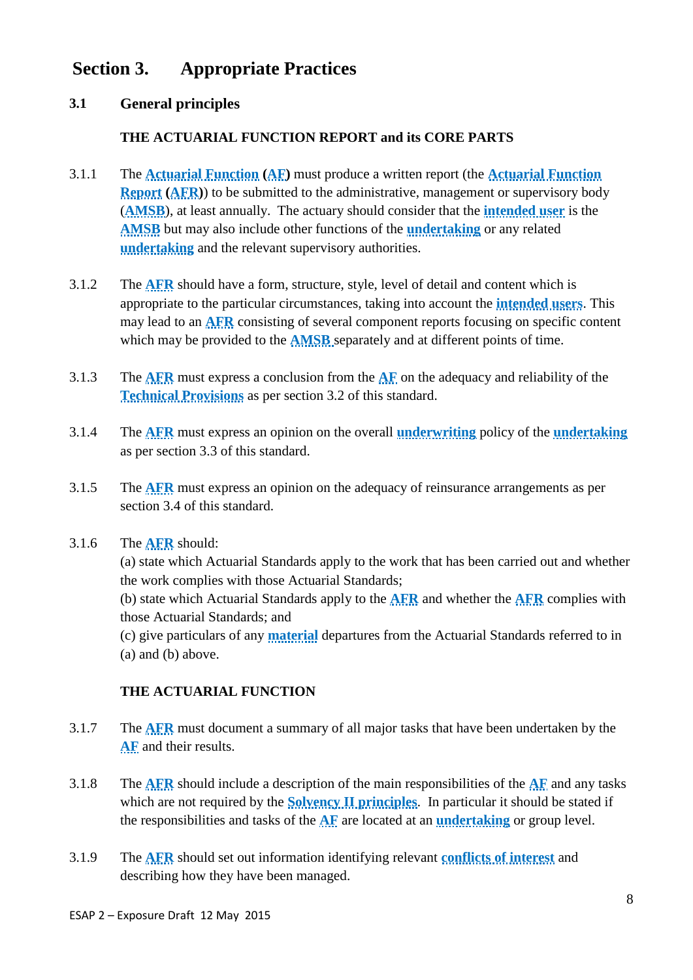# **Section 3. Appropriate Practices**

# **3.1 General principles**

### **THE ACTUARIAL FUNCTION REPORT and its CORE PARTS**

- 3.1.1 The **Actuarial Function (AF)** must produce a written report (the **Actuarial Function Report** (**AFR**)) to be submitted to the administrative, management or supervisory body (**AMSB**), at least annually. The actuary should consider that the **intended user** is the **AMSB** but may also include other functions of the **undertaking** or any related **undertaking** and the relevant supervisory authorities.
- 3.1.2 The **AFR** should have a form, structure, style, level of detail and content which is appropriate to the particular circumstances, taking into account the **intended users**. This may lead to an **AFR** consisting of several component reports focusing on specific content which may be provided to the **AMSB** separately and at different points of time.
- 3.1.3 The **AFR** must express a conclusion from the **AF** on the adequacy and reliability of the **Technical Provisions** as per section 3.2 of this standard.
- 3.1.4 The **AFR** must express an opinion on the overall **underwriting** policy of the **undertaking** as per section 3.3 of this standard.
- 3.1.5 The **AFR** must express an opinion on the adequacy of reinsurance arrangements as per section 3.4 of this standard.

#### 3.1.6 The **AFR** should:

(a) state which Actuarial Standards apply to the work that has been carried out and whether the work complies with those Actuarial Standards;

(b) state which Actuarial Standards apply to the **AFR** and whether the **AFR** complies with those Actuarial Standards; and

(c) give particulars of any **material** departures from the Actuarial Standards referred to in (a) and (b) above.

#### **THE ACTUARIAL FUNCTION**

- 3.1.7 The **AFR** must document a summary of all major tasks that have been undertaken by the **AF** and their results.
- 3.1.8 The **AFR** should include a description of the main responsibilities of the **AF** and any tasks which are not required by the **Solvency II principles**. In particular it should be stated if the responsibilities and tasks of the **AF** are located at an **undertaking** or group level.
- 3.1.9 The **AFR** should set out information identifying relevant **conflicts of interest** and describing how they have been managed.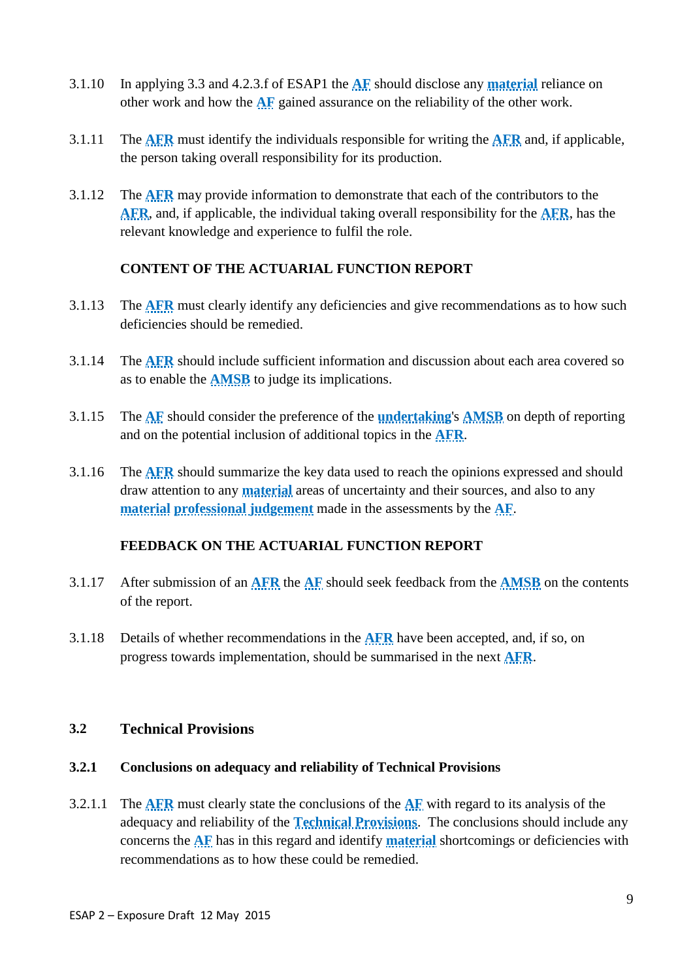- 3.1.10 In applying 3.3 and 4.2.3.f of ESAP1 the **AF** should disclose any **material** reliance on other work and how the **AF** gained assurance on the reliability of the other work.
- 3.1.11 The **AFR** must identify the individuals responsible for writing the **AFR** and, if applicable, the person taking overall responsibility for its production.
- 3.1.12 The **AFR** may provide information to demonstrate that each of the contributors to the **AFR**, and, if applicable, the individual taking overall responsibility for the **AFR**, has the relevant knowledge and experience to fulfil the role.

#### **CONTENT OF THE ACTUARIAL FUNCTION REPORT**

- 3.1.13 The **AFR** must clearly identify any deficiencies and give recommendations as to how such deficiencies should be remedied.
- 3.1.14 The **AFR** should include sufficient information and discussion about each area covered so as to enable the **AMSB** to judge its implications.
- 3.1.15 The **AF** should consider the preference of the **undertaking**'s **AMSB** on depth of reporting and on the potential inclusion of additional topics in the **AFR**.
- 3.1.16 The **AFR** should summarize the key data used to reach the opinions expressed and should draw attention to any **material** areas of uncertainty and their sources, and also to any **material professional judgement** made in the assessments by the **AF**.

#### **FEEDBACK ON THE ACTUARIAL FUNCTION REPORT**

- 3.1.17 After submission of an **AFR** the **AF** should seek feedback from the **AMSB** on the contents of the report.
- 3.1.18 Details of whether recommendations in the **AFR** have been accepted, and, if so, on progress towards implementation, should be summarised in the next **AFR**.

#### **3.2 Technical Provisions**

#### **3.2.1 Conclusions on adequacy and reliability of Technical Provisions**

3.2.1.1 The **AFR** must clearly state the conclusions of the **AF** with regard to its analysis of the adequacy and reliability of the **Technical Provisions**. The conclusions should include any concerns the **AF** has in this regard and identify **material** shortcomings or deficiencies with recommendations as to how these could be remedied.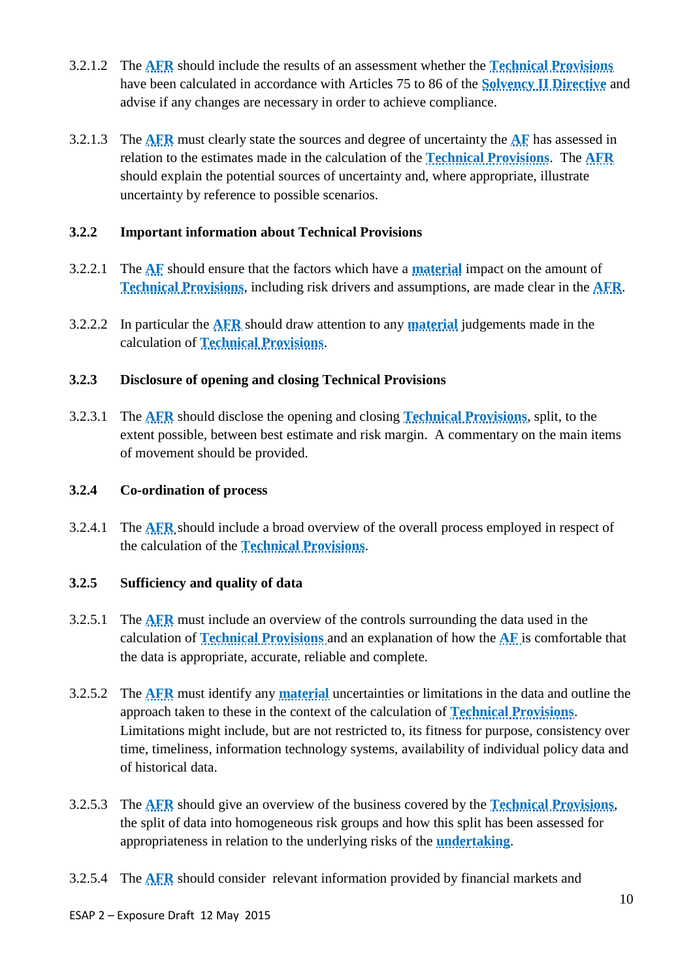- 3.2.1.2 The **AFR** should include the results of an assessment whether the **Technical Provisions** have been calculated in accordance with Articles 75 to 86 of the **Solvency II Directive** and advise if any changes are necessary in order to achieve compliance.
- 3.2.1.3 The **AFR** must clearly state the sources and degree of uncertainty the **AF** has assessed in relation to the estimates made in the calculation of the **Technical Provisions**. The **AFR** should explain the potential sources of uncertainty and, where appropriate, illustrate uncertainty by reference to possible scenarios.

#### **3.2.2 Important information about Technical Provisions**

- 3.2.2.1 The **AF** should ensure that the factors which have a **material** impact on the amount of **Technical Provisions**, including risk drivers and assumptions, are made clear in the **AFR**.
- 3.2.2.2 In particular the **AFR** should draw attention to any **material** judgements made in the calculation of **Technical Provisions**.

#### **3.2.3 Disclosure of opening and closing Technical Provisions**

3.2.3.1 The **AFR** should disclose the opening and closing **Technical Provisions**, split, to the extent possible, between best estimate and risk margin. A commentary on the main items of movement should be provided.

#### **3.2.4 Co-ordination of process**

3.2.4.1 The **AFR** should include a broad overview of the overall process employed in respect of the calculation of the **Technical Provisions**.

#### **3.2.5 Sufficiency and quality of data**

- 3.2.5.1 The **AFR** must include an overview of the controls surrounding the data used in the calculation of **Technical Provisions** and an explanation of how the **AF** is comfortable that the data is appropriate, accurate, reliable and complete.
- 3.2.5.2 The **AFR** must identify any **material** uncertainties or limitations in the data and outline the approach taken to these in the context of the calculation of **Technical Provisions**. Limitations might include, but are not restricted to, its fitness for purpose, consistency over time, timeliness, information technology systems, availability of individual policy data and of historical data.
- 3.2.5.3 The **AFR** should give an overview of the business covered by the **Technical Provisions**, the split of data into homogeneous risk groups and how this split has been assessed for appropriateness in relation to the underlying risks of the **undertaking**.
- 3.2.5.4 The **AFR** should consider relevant information provided by financial markets and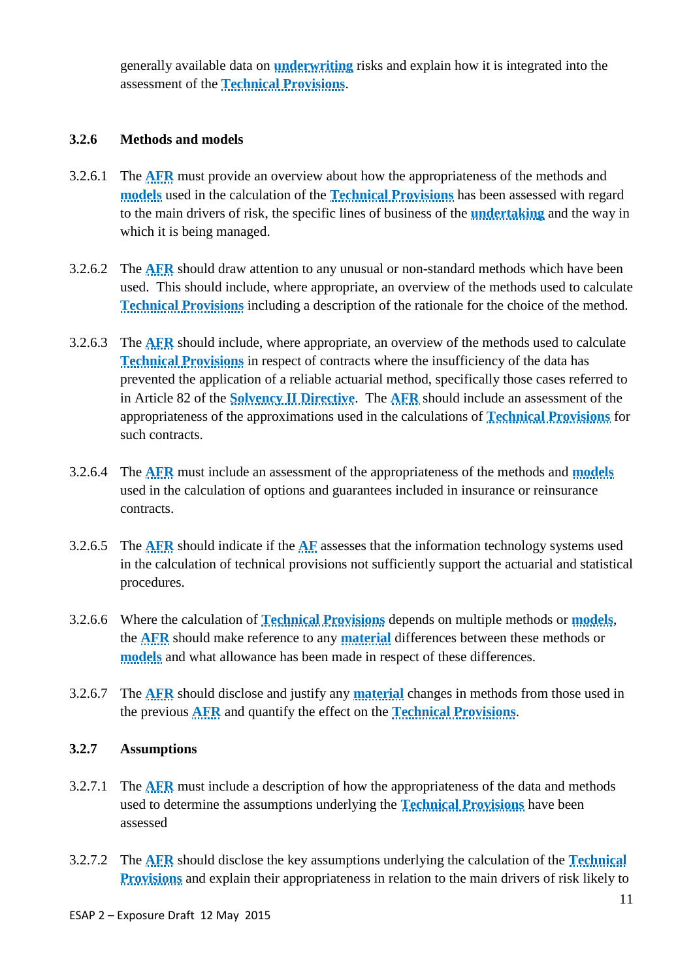generally available data on **underwriting** risks and explain how it is integrated into the assessment of the **Technical Provisions**.

#### **3.2.6 Methods and models**

- 3.2.6.1 The **AFR** must provide an overview about how the appropriateness of the methods and **models** used in the calculation of the **Technical Provisions** has been assessed with regard to the main drivers of risk, the specific lines of business of the **undertaking** and the way in which it is being managed.
- 3.2.6.2 The **AFR** should draw attention to any unusual or non-standard methods which have been used. This should include, where appropriate, an overview of the methods used to calculate **Technical Provisions** including a description of the rationale for the choice of the method.
- 3.2.6.3 The **AFR** should include, where appropriate, an overview of the methods used to calculate **Technical Provisions** in respect of contracts where the insufficiency of the data has prevented the application of a reliable actuarial method, specifically those cases referred to in Article 82 of the **Solvency II Directive**. The **AFR** should include an assessment of the appropriateness of the approximations used in the calculations of **Technical Provisions** for such contracts.
- 3.2.6.4 The **AFR** must include an assessment of the appropriateness of the methods and **models** used in the calculation of options and guarantees included in insurance or reinsurance contracts.
- 3.2.6.5 The **AFR** should indicate if the **AF** assesses that the information technology systems used in the calculation of technical provisions not sufficiently support the actuarial and statistical procedures.
- 3.2.6.6 Where the calculation of **Technical Provisions** depends on multiple methods or **models**, the **AFR** should make reference to any **material** differences between these methods or **models** and what allowance has been made in respect of these differences.
- 3.2.6.7 The **AFR** should disclose and justify any **material** changes in methods from those used in the previous **AFR** and quantify the effect on the **Technical Provisions**.

#### **3.2.7 Assumptions**

- 3.2.7.1 The **AFR** must include a description of how the appropriateness of the data and methods used to determine the assumptions underlying the **Technical Provisions** have been assessed
- 3.2.7.2 The **AFR** should disclose the key assumptions underlying the calculation of the **Technical Provisions** and explain their appropriateness in relation to the main drivers of risk likely to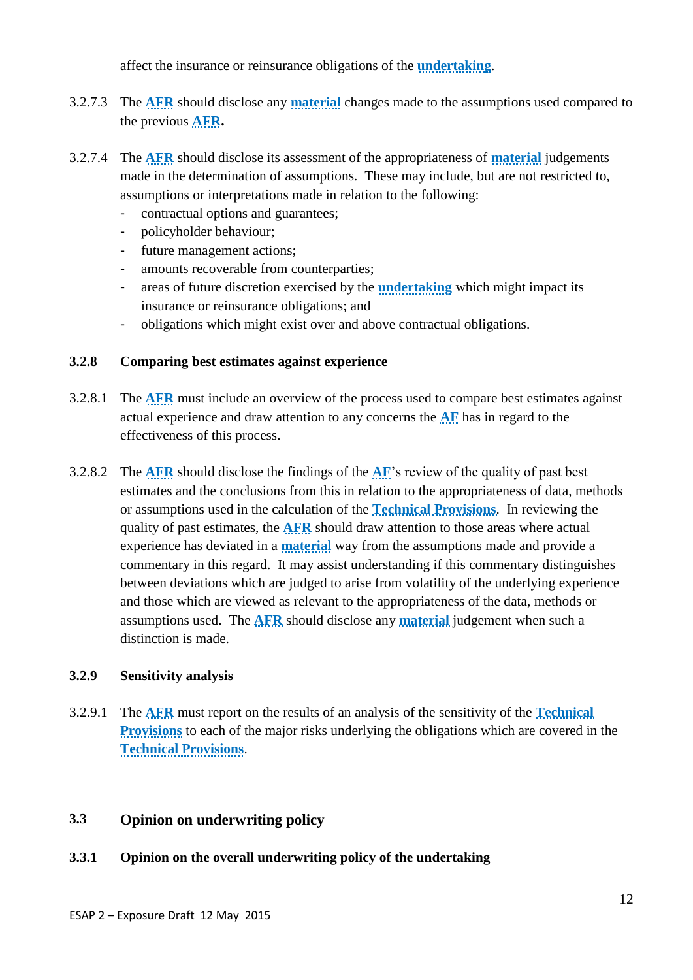affect the insurance or reinsurance obligations of the **undertaking**.

- 3.2.7.3 The **AFR** should disclose any **material** changes made to the assumptions used compared to the previous **AFR.**
- 3.2.7.4 The **AFR** should disclose its assessment of the appropriateness of **material** judgements made in the determination of assumptions. These may include, but are not restricted to, assumptions or interpretations made in relation to the following:
	- contractual options and guarantees;
	- policyholder behaviour;
	- future management actions;
	- amounts recoverable from counterparties;
	- areas of future discretion exercised by the **undertaking** which might impact its insurance or reinsurance obligations; and
	- obligations which might exist over and above contractual obligations.

#### **3.2.8 Comparing best estimates against experience**

- 3.2.8.1 The **AFR** must include an overview of the process used to compare best estimates against actual experience and draw attention to any concerns the **AF** has in regard to the effectiveness of this process.
- 3.2.8.2 The **AFR** should disclose the findings of the **AF**'s review of the quality of past best estimates and the conclusions from this in relation to the appropriateness of data, methods or assumptions used in the calculation of the **Technical Provisions**. In reviewing the quality of past estimates, the **AFR** should draw attention to those areas where actual experience has deviated in a **material** way from the assumptions made and provide a commentary in this regard. It may assist understanding if this commentary distinguishes between deviations which are judged to arise from volatility of the underlying experience and those which are viewed as relevant to the appropriateness of the data, methods or assumptions used. The **AFR** should disclose any **material** judgement when such a distinction is made.

#### **3.2.9 Sensitivity analysis**

3.2.9.1 The **AFR** must report on the results of an analysis of the sensitivity of the **Technical Provisions** to each of the major risks underlying the obligations which are covered in the **Technical Provisions**.

#### **3.3 Opinion on underwriting policy**

#### **3.3.1 Opinion on the overall underwriting policy of the undertaking**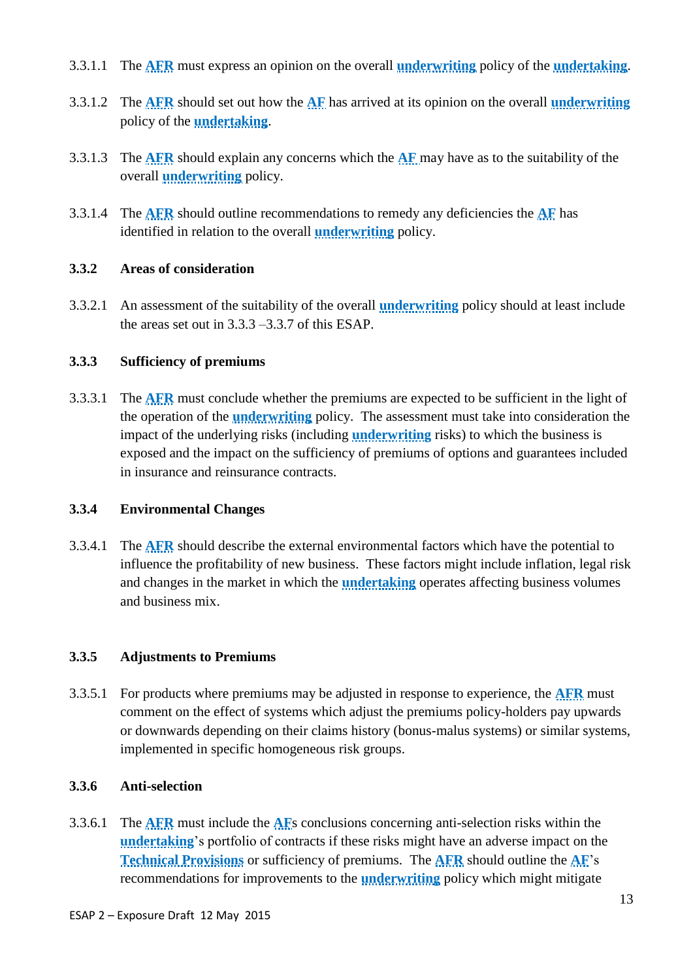- 3.3.1.1 The **AFR** must express an opinion on the overall **underwriting** policy of the **undertaking**.
- 3.3.1.2 The **AFR** should set out how the **AF** has arrived at its opinion on the overall **underwriting** policy of the **undertaking**.
- 3.3.1.3 The **AFR** should explain any concerns which the **AF** may have as to the suitability of the overall **underwriting** policy.
- 3.3.1.4 The **AFR** should outline recommendations to remedy any deficiencies the **AF** has identified in relation to the overall **underwriting** policy.

#### **3.3.2 Areas of consideration**

3.3.2.1 An assessment of the suitability of the overall **underwriting** policy should at least include the areas set out in 3.3.3 –3.3.7 of this ESAP.

### **3.3.3 Sufficiency of premiums**

3.3.3.1 The **AFR** must conclude whether the premiums are expected to be sufficient in the light of the operation of the **underwriting** policy. The assessment must take into consideration the impact of the underlying risks (including **underwriting** risks) to which the business is exposed and the impact on the sufficiency of premiums of options and guarantees included in insurance and reinsurance contracts.

# **3.3.4 Environmental Changes**

3.3.4.1 The **AFR** should describe the external environmental factors which have the potential to influence the profitability of new business. These factors might include inflation, legal risk and changes in the market in which the **undertaking** operates affecting business volumes and business mix.

# **3.3.5 Adjustments to Premiums**

3.3.5.1 For products where premiums may be adjusted in response to experience, the **AFR** must comment on the effect of systems which adjust the premiums policy-holders pay upwards or downwards depending on their claims history (bonus-malus systems) or similar systems, implemented in specific homogeneous risk groups.

#### **3.3.6 Anti-selection**

3.3.6.1 The **AFR** must include the **AF**s conclusions concerning anti-selection risks within the **undertaking**'s portfolio of contracts if these risks might have an adverse impact on the **Technical Provisions** or sufficiency of premiums. The **AFR** should outline the **AF**'s recommendations for improvements to the **underwriting** policy which might mitigate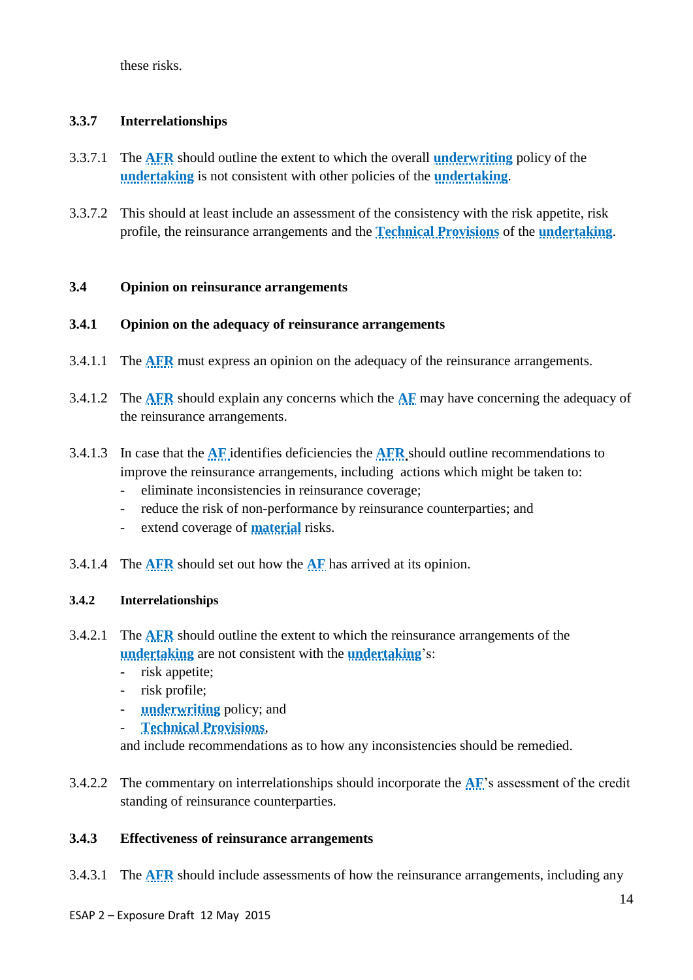these risks.

### **3.3.7 Interrelationships**

- 3.3.7.1 The **AFR** should outline the extent to which the overall **underwriting** policy of the **undertaking** is not consistent with other policies of the **undertaking**.
- 3.3.7.2 This should at least include an assessment of the consistency with the risk appetite, risk profile, the reinsurance arrangements and the **Technical Provisions** of the **undertaking**.

#### **3.4 Opinion on reinsurance arrangements**

#### **3.4.1 Opinion on the adequacy of reinsurance arrangements**

- 3.4.1.1 The **AFR** must express an opinion on the adequacy of the reinsurance arrangements.
- 3.4.1.2 The **AFR** should explain any concerns which the **AF** may have concerning the adequacy of the reinsurance arrangements.
- 3.4.1.3 In case that the **AF** identifies deficiencies the **AFR** should outline recommendations to improve the reinsurance arrangements, including actions which might be taken to:
	- eliminate inconsistencies in reinsurance coverage;
	- reduce the risk of non-performance by reinsurance counterparties; and
	- extend coverage of **material** risks.
- 3.4.1.4 The **AFR** should set out how the **AF** has arrived at its opinion.

#### **3.4.2 Interrelationships**

- 3.4.2.1 The **AFR** should outline the extent to which the reinsurance arrangements of the **undertaking** are not consistent with the **undertaking**'s:
	- risk appetite;
	- risk profile;
	- **underwriting** policy; and
	- **Technical Provisions**,

and include recommendations as to how any inconsistencies should be remedied.

3.4.2.2 The commentary on interrelationships should incorporate the **AF**'s assessment of the credit standing of reinsurance counterparties.

#### **3.4.3 Effectiveness of reinsurance arrangements**

3.4.3.1 The **AFR** should include assessments of how the reinsurance arrangements, including any